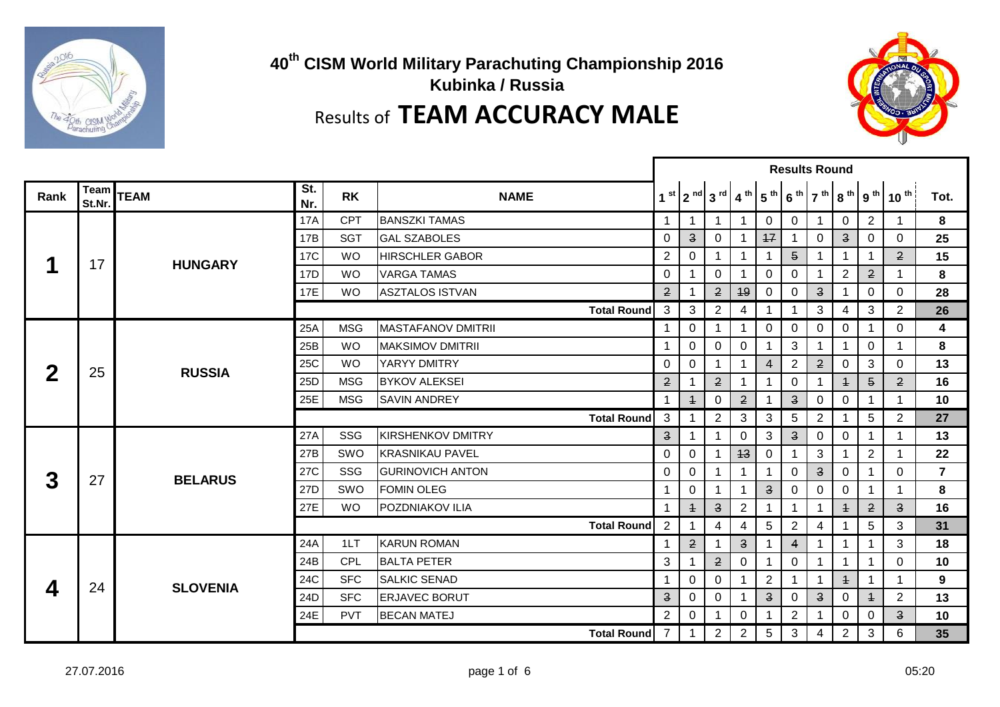

**40th CISM World Military Parachuting Championship 2016 Kubinka / Russia** Results of **TEAM ACCURACY MALE**



|      |                |                 |            |            |                            | <b>Results Round</b>                                                                                                                                                                                                     |                                                                                                                                                                                                                                                                                                                                                      |                       |                                                                                                                                                                                                                                                                                                                    |                 |                |                         |                         |                |                                         |                |
|------|----------------|-----------------|------------|------------|----------------------------|--------------------------------------------------------------------------------------------------------------------------------------------------------------------------------------------------------------------------|------------------------------------------------------------------------------------------------------------------------------------------------------------------------------------------------------------------------------------------------------------------------------------------------------------------------------------------------------|-----------------------|--------------------------------------------------------------------------------------------------------------------------------------------------------------------------------------------------------------------------------------------------------------------------------------------------------------------|-----------------|----------------|-------------------------|-------------------------|----------------|-----------------------------------------|----------------|
| Rank | Team<br>St.Nr. | <b>TEAM</b>     | St.<br>Nr. | <b>RK</b>  | <b>NAME</b>                |                                                                                                                                                                                                                          |                                                                                                                                                                                                                                                                                                                                                      | $1st$   $2nd$   $3rd$ | 4 <sup>th</sup>                                                                                                                                                                                                                                                                                                    | 5 <sup>th</sup> |                |                         |                         |                | $ 6^{th} 7^{th} 8^{th} 9^{th} 10^{th} $ | Tot.           |
|      |                |                 | <b>17A</b> | <b>CPT</b> | <b>BANSZKI TAMAS</b>       | -1                                                                                                                                                                                                                       | -1                                                                                                                                                                                                                                                                                                                                                   | -1                    | -1                                                                                                                                                                                                                                                                                                                 | 0               | 0              | 1.                      | $\mathbf 0$             | $\overline{2}$ |                                         | 8              |
|      |                |                 | 17B        | <b>SGT</b> | <b>GAL SZABOLES</b>        | $\mathbf 0$                                                                                                                                                                                                              | $\ensuremath{\mathsf{3}}$                                                                                                                                                                                                                                                                                                                            | $\overline{0}$        |                                                                                                                                                                                                                                                                                                                    | 17              | $\mathbf{1}$   | $\mathbf 0$             | $\overline{\mathbf{3}}$ | 0              | $\Omega$                                | 25             |
|      | 17             | <b>HUNGARY</b>  | <b>17C</b> | <b>WO</b>  | <b>HIRSCHLER GABOR</b>     | $\overline{2}$                                                                                                                                                                                                           | 0                                                                                                                                                                                                                                                                                                                                                    |                       | 1                                                                                                                                                                                                                                                                                                                  | 1               | 5 <sup>5</sup> |                         | 1                       | 1              | $\overline{2}$                          | 15             |
|      |                |                 | 17D        | <b>WO</b>  | <b>VARGA TAMAS</b>         | $\mathbf 0$                                                                                                                                                                                                              | $\mathbf 1$                                                                                                                                                                                                                                                                                                                                          | $\mathbf 0$           | $\mathbf 1$                                                                                                                                                                                                                                                                                                        | 0               | 0              | $\mathbf 1$             | $\overline{2}$          | $\overline{2}$ |                                         | 8              |
|      |                |                 | 17E        | <b>WO</b>  | <b>ASZTALOS ISTVAN</b>     | $\overline{2}$                                                                                                                                                                                                           |                                                                                                                                                                                                                                                                                                                                                      | $\overline{2}$        | 49                                                                                                                                                                                                                                                                                                                 | 0               | 0              | $\overline{\mathbf{3}}$ |                         | 0              | 0                                       | 28             |
|      |                |                 |            |            | <b>Total Round</b>         | 3                                                                                                                                                                                                                        | 3                                                                                                                                                                                                                                                                                                                                                    | $\overline{2}$        | 4                                                                                                                                                                                                                                                                                                                  | 1               | $\mathbf{1}$   | 3                       | 4                       | 3              | $\overline{2}$                          | 26             |
|      |                |                 | 25A        | <b>MSG</b> | <b>IMASTAFANOV DMITRII</b> | $\mathbf{1}$                                                                                                                                                                                                             | $\mathsf{O}$                                                                                                                                                                                                                                                                                                                                         | -1                    | $\mathbf 1$                                                                                                                                                                                                                                                                                                        | 0               | $\mathbf 0$    | 0                       | 0                       | 1              | 0                                       | 4              |
|      |                |                 | 25B        | <b>WO</b>  | <b>MAKSIMOV DMITRII</b>    | $\mathbf{1}$                                                                                                                                                                                                             | $\overline{0}$                                                                                                                                                                                                                                                                                                                                       | $\mathbf 0$           | $\mathbf 0$                                                                                                                                                                                                                                                                                                        | 1               | 3              |                         | 1                       | $\mathbf 0$    |                                         | 8              |
| 2    | 25             | <b>RUSSIA</b>   | 25C        | <b>WO</b>  | YARYY DMITRY               | $\mathbf 0$                                                                                                                                                                                                              | $\overline{0}$                                                                                                                                                                                                                                                                                                                                       | $\mathbf 1$           | $\mathbf{1}$                                                                                                                                                                                                                                                                                                       | $\overline{4}$  | $\overline{2}$ | $\overline{2}$          | $\mathbf 0$             | 3              | 0                                       | 13             |
|      |                |                 | 25D        | <b>MSG</b> | <b>BYKOV ALEKSEI</b>       | $\mathbf{2}$                                                                                                                                                                                                             | $\mathbf{2}$<br>0<br>$\ddagger$<br>-1<br>1<br>$\overline{2}$<br>$\overline{\mathbf{3}}$<br>$\overline{+}$<br>$\mathbf 0$<br>0<br>0<br>1<br>$\overline{2}$<br>$\mathbf{3}$<br>$\overline{2}$<br>3<br>$\overline{5}$<br>-1<br>3<br>$\overline{\mathbf{3}}$<br>0<br>0<br>0<br>-1<br>-1<br>3<br>$\overline{0}$<br>43<br>$\mathbf 0$<br>$\mathbf{1}$<br>1 | 5                     | $\mathbf{2}$                                                                                                                                                                                                                                                                                                       | 16              |                |                         |                         |                |                                         |                |
|      |                |                 | 25E        | <b>MSG</b> | <b>SAVIN ANDREY</b>        | 3<br><b>Total Round</b><br>$\overline{\mathbf{3}}$                                                                                                                                                                       |                                                                                                                                                                                                                                                                                                                                                      | 1                     |                                                                                                                                                                                                                                                                                                                    | 10              |                |                         |                         |                |                                         |                |
|      |                |                 |            |            |                            |                                                                                                                                                                                                                          |                                                                                                                                                                                                                                                                                                                                                      |                       |                                                                                                                                                                                                                                                                                                                    |                 |                |                         |                         | 5              | 2                                       | 27             |
|      |                |                 | 27A        | SSG        | <b>KIRSHENKOV DMITRY</b>   |                                                                                                                                                                                                                          |                                                                                                                                                                                                                                                                                                                                                      |                       |                                                                                                                                                                                                                                                                                                                    |                 |                |                         |                         | 1              |                                         | 13             |
|      |                |                 | 27B        | SWO        | <b>KRASNIKAU PAVEL</b>     | $\mathbf 0$<br>$\overline{\mathbf{3}}$<br>0<br>0<br>0<br>0<br>-1<br>1<br>$\overline{\mathbf{3}}$<br>0<br>0<br>0<br>-1<br>1<br>0<br>$\overline{\mathbf{3}}$<br>2<br>$\overline{+}$<br>$\mathbf 1$<br>1<br>$\ddagger$<br>1 | $\overline{2}$                                                                                                                                                                                                                                                                                                                                       |                       | 22                                                                                                                                                                                                                                                                                                                 |                 |                |                         |                         |                |                                         |                |
| 3    | 27             | <b>BELARUS</b>  | 27C        | SSG        | <b>GURINOVICH ANTON</b>    |                                                                                                                                                                                                                          |                                                                                                                                                                                                                                                                                                                                                      |                       |                                                                                                                                                                                                                                                                                                                    |                 |                |                         |                         |                | 0                                       | $\overline{7}$ |
|      |                |                 | 27D        | SWO        | <b>FOMIN OLEG</b>          |                                                                                                                                                                                                                          |                                                                                                                                                                                                                                                                                                                                                      |                       |                                                                                                                                                                                                                                                                                                                    |                 |                |                         |                         | $\mathbf 1$    |                                         | 8              |
|      |                |                 | 27E        | <b>WO</b>  | <b>POZDNIAKOV ILIA</b>     |                                                                                                                                                                                                                          |                                                                                                                                                                                                                                                                                                                                                      |                       |                                                                                                                                                                                                                                                                                                                    |                 |                |                         |                         | $\mathbf{2}$   | $\mathbf{3}$                            | 16             |
|      |                |                 |            |            | <b>Total Round</b>         | $\overline{2}$                                                                                                                                                                                                           | 1                                                                                                                                                                                                                                                                                                                                                    | 4                     | 4                                                                                                                                                                                                                                                                                                                  | 5               | $\overline{2}$ | 4                       |                         | 5              | 3                                       | 31             |
|      |                |                 | 24A        | 1LT        | <b>KARUN ROMAN</b>         | $\mathbf 1$                                                                                                                                                                                                              | $\overline{2}$                                                                                                                                                                                                                                                                                                                                       | -1                    | $\overline{\mathbf{3}}$                                                                                                                                                                                                                                                                                            | $\mathbf 1$     | $\overline{4}$ |                         |                         | 1              | 3                                       | 18             |
|      |                |                 | 24B        | <b>CPL</b> | <b>BALTA PETER</b>         | 3                                                                                                                                                                                                                        |                                                                                                                                                                                                                                                                                                                                                      | $\overline{2}$        | 0<br>0<br>$\overline{2}$<br>$\ddagger$<br>$\mathbf{1}$<br>1<br>$\mathbf 1$<br>$\overline{\mathbf{3}}$<br>$\overline{\mathbf{3}}$<br>$\mathbf 0$<br>$\mathbf 0$<br>$\ddagger$<br>$\overline{2}$<br>$\mathbf 0$<br>0<br>0<br>1<br>1<br>$\overline{2}$<br>$5\phantom{.0}$<br>$\mathbf{3}$<br>$\overline{2}$<br>3<br>4 |                 | 0              | 10                      |                         |                |                                         |                |
| 4    | 24             | <b>SLOVENIA</b> | 24C        | <b>SFC</b> | <b>SALKIC SENAD</b>        | -1                                                                                                                                                                                                                       | $\mathbf 0$                                                                                                                                                                                                                                                                                                                                          | $\mathbf 0$           |                                                                                                                                                                                                                                                                                                                    |                 |                |                         |                         |                |                                         | 9              |
|      |                |                 | 24D        | <b>SFC</b> | <b>ERJAVEC BORUT</b>       | $\overline{\mathbf{3}}$                                                                                                                                                                                                  | $\mathbf 0$                                                                                                                                                                                                                                                                                                                                          | $\mathbf 0$           |                                                                                                                                                                                                                                                                                                                    |                 |                |                         |                         |                | $\overline{2}$                          | 13             |
|      |                |                 | 24E        | <b>PVT</b> | <b>BECAN MATEJ</b>         | 2                                                                                                                                                                                                                        | 0                                                                                                                                                                                                                                                                                                                                                    | -1                    |                                                                                                                                                                                                                                                                                                                    |                 |                |                         |                         |                | $\overline{3}$                          | 10             |
|      |                |                 |            |            | <b>Total Round</b>         | $7\overline{ }$                                                                                                                                                                                                          | $\mathbf{1}$                                                                                                                                                                                                                                                                                                                                         | $\overline{2}$        |                                                                                                                                                                                                                                                                                                                    |                 |                |                         |                         |                | 6                                       | 35             |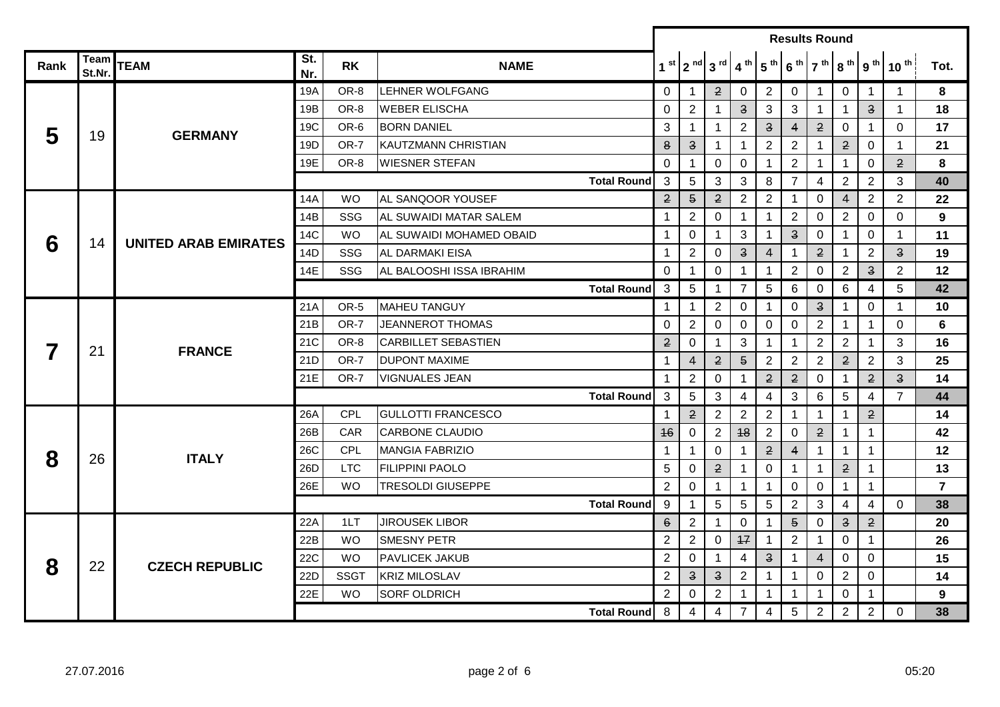|      |                |                             |            |             |                             | <b>Results Round</b>                                                                                                                                                                          |                                                                                                                                                                                                                                                                                                                                                                                                                                                                                                                                                                                                                         |                         |                         |                         |                         |                                   |                         |                         |                |                |
|------|----------------|-----------------------------|------------|-------------|-----------------------------|-----------------------------------------------------------------------------------------------------------------------------------------------------------------------------------------------|-------------------------------------------------------------------------------------------------------------------------------------------------------------------------------------------------------------------------------------------------------------------------------------------------------------------------------------------------------------------------------------------------------------------------------------------------------------------------------------------------------------------------------------------------------------------------------------------------------------------------|-------------------------|-------------------------|-------------------------|-------------------------|-----------------------------------|-------------------------|-------------------------|----------------|----------------|
| Rank | Team<br>St.Nr. | <b>TEAM</b>                 | St.<br>Nr. | <b>RK</b>   | <b>NAME</b>                 |                                                                                                                                                                                               |                                                                                                                                                                                                                                                                                                                                                                                                                                                                                                                                                                                                                         | $1st$   $2nd$   $3rd$   | 4 <sup>th</sup>         | 5 <sup>th</sup>         |                         | $6^{th}$ 7 <sup>th</sup> $8^{th}$ |                         | 9 <sup>th</sup>         | $10^{th}$      | Tot.           |
|      |                |                             | 19A        | OR-8        | <b>LEHNER WOLFGANG</b>      | 0                                                                                                                                                                                             | $\mathbf 1$                                                                                                                                                                                                                                                                                                                                                                                                                                                                                                                                                                                                             | $\mathbf{2}$            | $\mathbf 0$             | $\overline{2}$          | $\mathbf 0$             | $\mathbf{1}$                      | $\overline{0}$          | $\overline{1}$          | $\mathbf 1$    | 8              |
|      |                |                             | 19B        | OR-8        | <b>WEBER ELISCHA</b>        | $\mathbf 0$                                                                                                                                                                                   | $\overline{2}$                                                                                                                                                                                                                                                                                                                                                                                                                                                                                                                                                                                                          | $\mathbf{1}$            | $\overline{\mathbf{3}}$ | 3                       | 3                       | $\mathbf{1}$                      | $\mathbf{1}$            | $\overline{\mathbf{3}}$ | 1              | 18             |
| 5    | 19             | <b>GERMANY</b>              | 19C        | OR-6        | <b>BORN DANIEL</b>          | 3                                                                                                                                                                                             | 1                                                                                                                                                                                                                                                                                                                                                                                                                                                                                                                                                                                                                       | 1                       | $\overline{2}$          | $\overline{\mathbf{3}}$ | $\overline{4}$          | $\overline{2}$                    | 0                       | -1                      | 0              | 17             |
|      |                |                             | 19D        | OR-7        | <b>IKAUTZMANN CHRISTIAN</b> | 8                                                                                                                                                                                             | $\overline{\mathbf{3}}$                                                                                                                                                                                                                                                                                                                                                                                                                                                                                                                                                                                                 | $\mathbf{1}$            | $\mathbf 1$             | $\overline{2}$          | $\overline{2}$          | $\mathbf{1}$                      | $\mathbf{2}$            | 0                       | 1              | 21             |
|      |                |                             | 19E        | OR-8        | <b>WIESNER STEFAN</b>       | $\mathbf 0$                                                                                                                                                                                   | $\mathbf 1$                                                                                                                                                                                                                                                                                                                                                                                                                                                                                                                                                                                                             | $\mathbf 0$             | $\mathbf 0$             | $\mathbf 1$             | $\overline{2}$          | $\overline{1}$                    | $\overline{1}$          | 0                       | $\overline{2}$ | 8              |
|      |                |                             |            |             | <b>Total Round</b>          | 3                                                                                                                                                                                             | 5                                                                                                                                                                                                                                                                                                                                                                                                                                                                                                                                                                                                                       | 3                       | 3                       | 8                       | 7                       | 4                                 | $\overline{2}$          | $\overline{2}$          | 3              | 40             |
|      |                |                             | 14A        | <b>WO</b>   | AL SANQOOR YOUSEF           | $\overline{2}$                                                                                                                                                                                | $\overline{5}$                                                                                                                                                                                                                                                                                                                                                                                                                                                                                                                                                                                                          | $\mathbf{2}$            | $\overline{2}$          | $\overline{2}$          |                         | $\mathbf 0$                       | 4                       | $\overline{2}$          | $\overline{2}$ | 22             |
| 6    |                |                             | 14B        | <b>SSG</b>  | IAL SUWAIDI MATAR SALEM     | 1                                                                                                                                                                                             | $\overline{2}$                                                                                                                                                                                                                                                                                                                                                                                                                                                                                                                                                                                                          | $\mathbf 0$             | $\mathbf{1}$            | $\mathbf{1}$            | $\overline{2}$          | $\mathbf 0$                       | $2^{\circ}$             | 0                       | $\Omega$       | 9              |
|      | 14             | <b>UNITED ARAB EMIRATES</b> | 14C        | <b>WO</b>   | AL SUWAIDI MOHAMED OBAID    | $\mathbf{1}$                                                                                                                                                                                  | 0                                                                                                                                                                                                                                                                                                                                                                                                                                                                                                                                                                                                                       | -1                      | 3                       | $\mathbf 1$             | $\overline{\mathbf{3}}$ | $\mathbf 0$                       | -1                      | 0                       | $\mathbf 1$    | 11             |
|      |                |                             | 14D        | SSG         | <b>AL DARMAKI EISA</b>      | $\mathbf{1}$                                                                                                                                                                                  | $\overline{2}$                                                                                                                                                                                                                                                                                                                                                                                                                                                                                                                                                                                                          | 0                       | $\overline{\mathbf{3}}$ | $\overline{4}$          | $\mathbf 1$             | $\mathbf{2}$                      | -1                      | $\overline{2}$          | $\overline{3}$ | 19             |
|      |                |                             | 14E        | SSG         | AL BALOOSHI ISSA IBRAHIM    | 0                                                                                                                                                                                             | 1                                                                                                                                                                                                                                                                                                                                                                                                                                                                                                                                                                                                                       | 0                       | $\mathbf 1$             | -1                      | $\overline{2}$          | $\mathbf 0$                       | $\mathbf{2}$            | $\overline{\mathbf{3}}$ | $\overline{2}$ | 12             |
|      |                |                             |            |             | <b>Total Round</b>          | 3                                                                                                                                                                                             | 5 <sup>5</sup>                                                                                                                                                                                                                                                                                                                                                                                                                                                                                                                                                                                                          | $\mathbf{1}$            | $\overline{7}$          | $\overline{5}$          | 6                       | $\mathbf 0$                       | 6                       | 4                       | 5              | 42             |
|      |                |                             | 21A        | OR-5        | <b>MAHEU TANGUY</b>         | $\mathbf{1}$                                                                                                                                                                                  | $\mathbf 1$                                                                                                                                                                                                                                                                                                                                                                                                                                                                                                                                                                                                             | $\overline{2}$          | $\mathbf 0$             | $\mathbf 1$             | $\mathbf 0$             | $\ensuremath{\mathsf{3}}$         | $\mathbf 1$             | 0                       | 1              | 10             |
|      |                |                             | 21B        | OR-7        | <b>JEANNEROT THOMAS</b>     | 0                                                                                                                                                                                             | $\mathbf{2}$<br>$\overline{2}$<br>0<br>$\mathbf 0$<br>$\mathbf 0$<br>$\mathbf 0$<br>-1<br>2<br>3<br>$\overline{2}$<br>$\Omega$<br>1<br>$\mathbf 1$<br>$\mathbf 1$<br>$\overline{5}$<br>$\mathbf{2}$<br>$\overline{2}$<br>$\overline{2}$<br>4<br>$\overline{2}$<br>$\overline{2}$<br>$\overline{2}$<br>$\overline{2}$<br>$\overline{2}$<br>0<br>$\mathbf 0$<br>-1<br>-1<br>5<br>3<br>4<br>3<br>5<br>4<br>6<br>$\overline{2}$<br>$\overline{2}$<br>$\overline{2}$<br>$\overline{2}$<br>$\mathbf{1}$<br>$\mathbf{1}$<br>$\mathbf{1}$<br>$\overline{2}$<br>48<br>$\overline{2}$<br>$\overline{2}$<br>0<br>$\mathbf 0$<br>-1 | $\mathbf 1$             | $\Omega$                | 6                       |                         |                                   |                         |                         |                |                |
|      | 21             | <b>FRANCE</b>               | 21C        | OR-8        | <b>ICARBILLET SEBASTIEN</b> | $\overline{2}$                                                                                                                                                                                |                                                                                                                                                                                                                                                                                                                                                                                                                                                                                                                                                                                                                         |                         |                         |                         |                         |                                   |                         | -1                      | 3              | 16             |
|      |                |                             | 21D        | OR-7        | <b>DUPONT MAXIME</b>        | $\mathbf{1}$                                                                                                                                                                                  |                                                                                                                                                                                                                                                                                                                                                                                                                                                                                                                                                                                                                         |                         |                         |                         |                         |                                   |                         | $\overline{2}$          | 3              | 25             |
|      |                |                             | 21E        | OR-7        | <b>VIGNUALES JEAN</b>       | $\mathbf{1}$<br><b>Total Round</b><br>3<br>$\mathbf{1}$<br>46<br>$\mathbf{2}$<br>$\mathbf 0$<br>$\overline{4}$<br>$\mathbf{1}$<br>$\mathbf 1$<br>$\overline{1}$<br>$\mathbf 1$<br>$\mathbf 1$ | $\overline{2}$                                                                                                                                                                                                                                                                                                                                                                                                                                                                                                                                                                                                          | $\overline{3}$          | 14                      |                         |                         |                                   |                         |                         |                |                |
|      |                |                             |            |             |                             |                                                                                                                                                                                               |                                                                                                                                                                                                                                                                                                                                                                                                                                                                                                                                                                                                                         |                         |                         |                         |                         |                                   |                         | 4                       | 7              | 44             |
|      |                |                             | 26A        | <b>CPL</b>  | <b>GULLOTTI FRANCESCO</b>   |                                                                                                                                                                                               |                                                                                                                                                                                                                                                                                                                                                                                                                                                                                                                                                                                                                         |                         |                         |                         |                         |                                   |                         | $\mathbf{2}$            |                | 14             |
|      |                |                             | 26B        | CAR         | <b>CARBONE CLAUDIO</b>      |                                                                                                                                                                                               |                                                                                                                                                                                                                                                                                                                                                                                                                                                                                                                                                                                                                         |                         |                         |                         |                         |                                   |                         | $\mathbf{1}$            |                | 42             |
| 8    | 26             | <b>ITALY</b>                | <b>26C</b> | CPL         | <b>MANGIA FABRIZIO</b>      |                                                                                                                                                                                               |                                                                                                                                                                                                                                                                                                                                                                                                                                                                                                                                                                                                                         |                         |                         |                         |                         |                                   |                         | $\overline{1}$          |                | 12             |
|      |                |                             | 26D        | <b>LTC</b>  | <b>FILIPPINI PAOLO</b>      | 5                                                                                                                                                                                             | 0                                                                                                                                                                                                                                                                                                                                                                                                                                                                                                                                                                                                                       | $\mathbf{2}$            | -1                      | 0                       | 1                       | $\overline{1}$                    | $\mathbf{2}$            | -1                      |                | 13             |
|      |                |                             | 26E        | <b>WO</b>   | <b>TRESOLDI GIUSEPPE</b>    | $\overline{2}$                                                                                                                                                                                | $\mathbf 0$                                                                                                                                                                                                                                                                                                                                                                                                                                                                                                                                                                                                             | $\mathbf{1}$            | $\mathbf{1}$            | $\mathbf 1$             | $\mathbf 0$             | $\mathbf 0$                       | $\mathbf{1}$            | $\mathbf 1$             |                | $\overline{7}$ |
|      |                |                             |            |             | <b>Total Round</b>          | 9                                                                                                                                                                                             | $\mathbf 1$                                                                                                                                                                                                                                                                                                                                                                                                                                                                                                                                                                                                             | $\overline{5}$          | 5                       | $\sqrt{5}$              | $\mathbf{2}$            | 3                                 | 4                       | 4                       | 0              | 38             |
|      |                |                             | 22A        | 1LT         | <b>JIROUSEK LIBOR</b>       | $6 \,$                                                                                                                                                                                        | $\overline{2}$                                                                                                                                                                                                                                                                                                                                                                                                                                                                                                                                                                                                          | 1                       | $\mathbf 0$             | $\mathbf 1$             | $\overline{5}$          | $\mathbf 0$                       | $\overline{\mathbf{3}}$ | $\overline{2}$          |                | 20             |
|      |                |                             | 22B        | <b>WO</b>   | <b>SMESNY PETR</b>          | $\overline{2}$                                                                                                                                                                                | $\overline{2}$                                                                                                                                                                                                                                                                                                                                                                                                                                                                                                                                                                                                          | $\overline{0}$          | 17                      | -1                      | $\overline{2}$          | $\mathbf 1$                       | $\mathbf 0$             | 1                       |                | 26             |
| 8    | 22             | <b>CZECH REPUBLIC</b>       | 22C        | <b>WO</b>   | <b>PAVLICEK JAKUB</b>       | $\overline{2}$                                                                                                                                                                                | 0                                                                                                                                                                                                                                                                                                                                                                                                                                                                                                                                                                                                                       | 1                       | 4                       | $\overline{\mathbf{3}}$ | $\mathbf{1}$            | $\overline{4}$                    | $\mathbf 0$             | 0                       |                | 15             |
|      |                |                             | 22D        | <b>SSGT</b> | <b>IKRIZ MILOSLAV</b>       | $\overline{2}$                                                                                                                                                                                | $\overline{\mathbf{3}}$                                                                                                                                                                                                                                                                                                                                                                                                                                                                                                                                                                                                 | $\overline{\mathbf{3}}$ | $\overline{2}$          | $\mathbf 1$             | $\mathbf 1$             | $\mathbf 0$                       | $\overline{2}$          | 0                       |                | 14             |
|      |                |                             | 22E        | <b>WO</b>   | <b>SORF OLDRICH</b>         | $\overline{2}$                                                                                                                                                                                | 0                                                                                                                                                                                                                                                                                                                                                                                                                                                                                                                                                                                                                       | $\overline{2}$          | -1                      |                         |                         | -1                                | $\mathbf 0$             | -1                      |                | 9              |
|      |                |                             |            |             | <b>Total Round</b>          | 8                                                                                                                                                                                             | 4                                                                                                                                                                                                                                                                                                                                                                                                                                                                                                                                                                                                                       | 4                       | $\overline{7}$          | 4                       | 5                       | 2                                 | $2^{\circ}$             | $\overline{2}$          | $\Omega$       | 38             |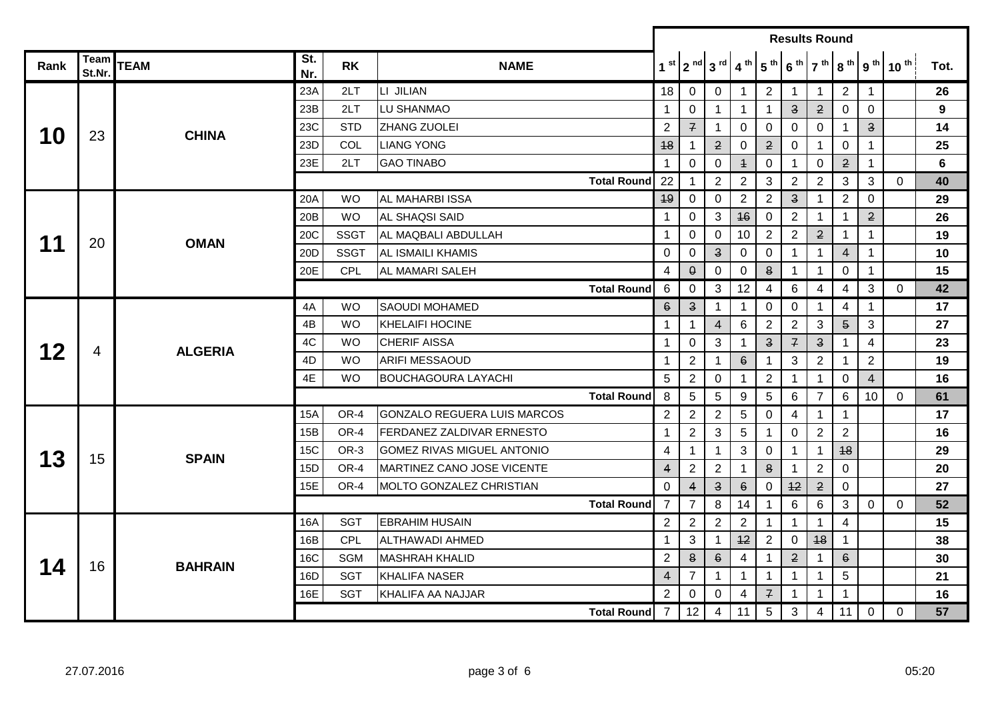|      |                |                |            |             |                                    |                                                                                                                                                                                                                                                                                                                                                                                                                                                                            | <b>Results Round</b>      |                         |                 |                 |                                                                                                                                                                                                                                                                                                                                                                                                    |                       |                |                         |              |                |
|------|----------------|----------------|------------|-------------|------------------------------------|----------------------------------------------------------------------------------------------------------------------------------------------------------------------------------------------------------------------------------------------------------------------------------------------------------------------------------------------------------------------------------------------------------------------------------------------------------------------------|---------------------------|-------------------------|-----------------|-----------------|----------------------------------------------------------------------------------------------------------------------------------------------------------------------------------------------------------------------------------------------------------------------------------------------------------------------------------------------------------------------------------------------------|-----------------------|----------------|-------------------------|--------------|----------------|
| Rank | Team<br>St.Nr. | <b>TEAM</b>    | St.<br>Nr. | <b>RK</b>   | <b>NAME</b>                        |                                                                                                                                                                                                                                                                                                                                                                                                                                                                            |                           | $1st$   $2nd$   $3rd$   | 4 <sup>th</sup> | 5 <sup>th</sup> |                                                                                                                                                                                                                                                                                                                                                                                                    | $7th$ 8 <sup>th</sup> |                | 9 <sup>th</sup>         | $10^{th}$    | Tot.           |
|      |                |                | 23A        | 2LT         | LI JILIAN                          | 18                                                                                                                                                                                                                                                                                                                                                                                                                                                                         | $\overline{0}$            | 0                       | 1               | $\overline{2}$  | $\mathbf{1}$                                                                                                                                                                                                                                                                                                                                                                                       | $\mathbf{1}$          | $\overline{2}$ | $\overline{1}$          |              | 26             |
|      |                |                | 23B        | 2LT         | LU SHANMAO                         | -1                                                                                                                                                                                                                                                                                                                                                                                                                                                                         | $\mathbf 0$               | 1                       | 1               | $\mathbf 1$     | $\overline{\mathbf{3}}$                                                                                                                                                                                                                                                                                                                                                                            | $\mathbf{2}$          | $\mathbf 0$    | $\mathbf 0$             |              | 9              |
| 10   | 23             | <b>CHINA</b>   | 23C        | <b>STD</b>  | ZHANG ZUOLEI                       | $\overline{2}$                                                                                                                                                                                                                                                                                                                                                                                                                                                             | $\overline{f}$            | 1                       | $\mathbf 0$     | 0               | $\mathbf 0$                                                                                                                                                                                                                                                                                                                                                                                        | $\mathbf 0$           | $\mathbf{1}$   | $\overline{\mathbf{3}}$ |              | 14             |
|      |                |                | 23D        | COL         | <b>LIANG YONG</b>                  | 48                                                                                                                                                                                                                                                                                                                                                                                                                                                                         | $\mathbf 1$               | $\mathbf{2}$            | 0               | $\mathbf{2}$    | 0                                                                                                                                                                                                                                                                                                                                                                                                  | $\mathbf{1}$          | 0              | $\mathbf 1$             |              | 25             |
|      |                |                | 23E        | 2LT         | <b>GAO TINABO</b>                  | -1                                                                                                                                                                                                                                                                                                                                                                                                                                                                         | $\mathbf 0$               | $\mathbf 0$             | $\ddagger$      | 0               | $\mathbf{1}$                                                                                                                                                                                                                                                                                                                                                                                       | 0                     | $\overline{2}$ | $\mathbf{1}$            |              | $6\phantom{1}$ |
|      |                |                |            |             | <b>Total Round</b>                 | 22                                                                                                                                                                                                                                                                                                                                                                                                                                                                         | $\mathbf{1}$              | $\overline{2}$          | $\overline{2}$  | $\mathbf{3}$    | $\overline{2}$                                                                                                                                                                                                                                                                                                                                                                                     | $\overline{2}$        | 3              | 3                       | $\mathbf 0$  | 40             |
|      |                |                | 20A        | <b>WO</b>   | AL MAHARBI ISSA                    | 49                                                                                                                                                                                                                                                                                                                                                                                                                                                                         | 0                         | $\Omega$                | $\overline{2}$  | $\overline{2}$  | $\mathbf{3}$                                                                                                                                                                                                                                                                                                                                                                                       | -1                    | $\overline{2}$ | 0                       |              | 29             |
|      |                |                | 20B        | <b>WO</b>   | AL SHAQSI SAID                     | $\mathbf 1$                                                                                                                                                                                                                                                                                                                                                                                                                                                                | $\mathbf 0$               | 3                       | 46              | $\mathbf 0$     | $\overline{2}$                                                                                                                                                                                                                                                                                                                                                                                     | $\mathbf{1}$          | $\mathbf{1}$   | $\overline{2}$          |              | 26             |
| 11   | 20             | <b>OMAN</b>    | 20C        | <b>SSGT</b> | AL MAQBALI ABDULLAH                | 1                                                                                                                                                                                                                                                                                                                                                                                                                                                                          | $\mathbf 0$               | $\mathbf 0$             | 10 <sup>°</sup> | $\overline{2}$  | $\overline{2}$                                                                                                                                                                                                                                                                                                                                                                                     | $\overline{2}$        | $\mathbf 1$    | $\mathbf{1}$            |              | 19             |
|      |                |                | 20D        | <b>SSGT</b> | <b>AL ISMAILI KHAMIS</b>           | $\mathbf 0$                                                                                                                                                                                                                                                                                                                                                                                                                                                                | $\mathbf 0$               | $\overline{\mathbf{3}}$ | $\mathbf 0$     | 0               | $\mathbf{1}$                                                                                                                                                                                                                                                                                                                                                                                       | $\mathbf{1}$          | $\overline{4}$ | $\overline{1}$          |              | 10             |
|      |                |                | 20E        | CPL         | AL MAMARI SALEH                    | 4                                                                                                                                                                                                                                                                                                                                                                                                                                                                          | $\theta$                  | $\overline{0}$          | $\mathbf 0$     | $\bf{8}$        | $\mathbf 1$                                                                                                                                                                                                                                                                                                                                                                                        | -1                    | 0              | $\mathbf 1$             |              | 15             |
|      |                |                |            |             |                                    | 6                                                                                                                                                                                                                                                                                                                                                                                                                                                                          | 0                         | 3                       | 12              | $\overline{4}$  | 6                                                                                                                                                                                                                                                                                                                                                                                                  | 4                     | $\overline{4}$ | 3                       | 0            | 42             |
|      |                |                | 4A         | <b>WO</b>   | <b>SAOUDI MOHAMED</b>              | $\ddot{\theta}$                                                                                                                                                                                                                                                                                                                                                                                                                                                            | $\ensuremath{\mathsf{3}}$ | 1                       | 1               | $\mathbf 0$     | $\mathbf 0$                                                                                                                                                                                                                                                                                                                                                                                        | $\mathbf{1}$          | 4              | $\mathbf 1$             |              | 17             |
|      |                |                | 4B         | <b>WO</b>   | <b>KHELAIFI HOCINE</b>             | 1                                                                                                                                                                                                                                                                                                                                                                                                                                                                          | $\mathbf{1}$              | $\overline{4}$          | 6               | $\overline{2}$  | $\overline{2}$                                                                                                                                                                                                                                                                                                                                                                                     | 3                     | 5 <sup>5</sup> | 3                       |              | 27             |
| 12   | 4              | <b>ALGERIA</b> | 4C         | <b>WO</b>   | <b>CHERIF AISSA</b>                | <b>Total Round</b><br>$\mathcal{F}$<br>3<br>$\overline{\mathbf{3}}$<br>$\mathbf{3}$<br>1<br>$\Omega$<br>1<br>$6\overline{6}$<br>3<br>$\overline{2}$<br>$\overline{2}$<br>1<br>$\mathbf{1}$<br>$\mathbf 1$<br>$\overline{2}$<br>5<br>$\overline{2}$<br>$\mathbf 0$<br>$\mathbf 1$<br>$\mathbf 1$<br>-1<br>5<br>8<br>5<br>5<br>9<br>6<br><b>Total Round</b><br>7<br>$\overline{2}$<br>$\overline{2}$<br>$\overline{2}$<br>5<br>$\mathbf 0$<br>$\overline{4}$<br>$\mathbf{1}$ | -1                        | 4                       |                 | 23              |                                                                                                                                                                                                                                                                                                                                                                                                    |                       |                |                         |              |                |
|      |                |                | 4D         | <b>WO</b>   | <b>ARIFI MESSAOUD</b>              |                                                                                                                                                                                                                                                                                                                                                                                                                                                                            |                           |                         |                 | $\mathbf 1$     | $\overline{2}$                                                                                                                                                                                                                                                                                                                                                                                     |                       | 19             |                         |              |                |
|      |                |                | 4E         | <b>WO</b>   | <b>BOUCHAGOURA LAYACHI</b>         |                                                                                                                                                                                                                                                                                                                                                                                                                                                                            |                           |                         |                 |                 |                                                                                                                                                                                                                                                                                                                                                                                                    |                       | $\mathbf 0$    | $\overline{4}$          |              | 16             |
|      |                |                |            |             |                                    |                                                                                                                                                                                                                                                                                                                                                                                                                                                                            |                           |                         |                 |                 |                                                                                                                                                                                                                                                                                                                                                                                                    |                       | 6              | 10                      | $\mathbf{0}$ | 61             |
|      |                |                | <b>15A</b> | OR-4        | <b>GONZALO REGUERA LUIS MARCOS</b> |                                                                                                                                                                                                                                                                                                                                                                                                                                                                            |                           |                         |                 |                 |                                                                                                                                                                                                                                                                                                                                                                                                    |                       | $\mathbf{1}$   |                         |              | 17             |
|      |                |                | 15B        | OR-4        | FERDANEZ ZALDIVAR ERNESTO          | 1                                                                                                                                                                                                                                                                                                                                                                                                                                                                          | $\overline{2}$            | 3                       | 5               | $\mathbf 1$     | $\overline{0}$                                                                                                                                                                                                                                                                                                                                                                                     |                       | $\overline{2}$ |                         |              | 16             |
| 13   | 15             | <b>SPAIN</b>   | <b>15C</b> | OR-3        | <b>GOMEZ RIVAS MIGUEL ANTONIO</b>  | 4                                                                                                                                                                                                                                                                                                                                                                                                                                                                          | $\mathbf{1}$              | $\mathbf 1$             | 3               | $\mathbf 0$     | 6 <sup>th</sup><br>2<br>$\mathbf{1}$<br>$\overline{1}$<br>2<br>8<br>$\mathbf 1$<br>$\mathbf 0$<br>12<br>$\overline{2}$<br>$\,6\,$<br>6<br>$\mathbf 1$<br>$\mathbf{1}$<br>$\mathbf{1}$<br>$\mathbf{1}$<br>$\overline{2}$<br>48<br>0<br>$\mathbf{2}$<br>$\mathbf 1$<br>$\mathbf{1}$<br>$\overline{1}$<br>$\mathbf{1}$<br>$\mathbf{1}$<br>$\overline{f}$<br>$\mathbf 1$<br>$\mathbf 1$<br>5<br>3<br>4 |                       | 48             |                         |              | 29             |
|      |                |                | 15D        | OR-4        | MARTINEZ CANO JOSE VICENTE         | 4                                                                                                                                                                                                                                                                                                                                                                                                                                                                          | $\overline{2}$            | $\overline{2}$          | 1               |                 |                                                                                                                                                                                                                                                                                                                                                                                                    |                       | $\overline{0}$ |                         |              | 20             |
|      |                |                | 15E        | OR-4        | MOLTO GONZALEZ CHRISTIAN           | $\mathbf 0$                                                                                                                                                                                                                                                                                                                                                                                                                                                                | $\overline{4}$            | $\overline{\mathbf{3}}$ | $6 \theta$      |                 |                                                                                                                                                                                                                                                                                                                                                                                                    |                       | $\mathbf 0$    |                         |              | 27             |
|      |                |                |            |             | <b>Total Round</b>                 | $\overline{7}$                                                                                                                                                                                                                                                                                                                                                                                                                                                             | $\overline{7}$            | 8                       | 14              |                 |                                                                                                                                                                                                                                                                                                                                                                                                    |                       | $\mathbf{3}$   | $\mathbf 0$             | $\mathbf{0}$ | 52             |
|      |                |                | <b>16A</b> | <b>SGT</b>  | <b>EBRAHIM HUSAIN</b>              | $\overline{2}$                                                                                                                                                                                                                                                                                                                                                                                                                                                             | $\overline{2}$            | $\overline{2}$          | $\overline{2}$  |                 |                                                                                                                                                                                                                                                                                                                                                                                                    |                       | $\overline{4}$ |                         |              | 15             |
|      |                |                | 16B        | <b>CPL</b>  | ALTHAWADI AHMED                    | 1                                                                                                                                                                                                                                                                                                                                                                                                                                                                          | 3                         | 1                       | 42              |                 |                                                                                                                                                                                                                                                                                                                                                                                                    |                       | $\mathbf{1}$   |                         |              | 38             |
| 14   | 16             | <b>BAHRAIN</b> | <b>16C</b> | <b>SGM</b>  | <b>MASHRAH KHALID</b>              | 2                                                                                                                                                                                                                                                                                                                                                                                                                                                                          | 8                         | $6\overline{6}$         | 4               |                 |                                                                                                                                                                                                                                                                                                                                                                                                    |                       | $\mathbf 6$    |                         |              | 30             |
|      |                |                | 16D        | <b>SGT</b>  | KHALIFA NASER                      | 4                                                                                                                                                                                                                                                                                                                                                                                                                                                                          | $\overline{7}$            | $\mathbf{1}$            | $\mathbf{1}$    |                 |                                                                                                                                                                                                                                                                                                                                                                                                    |                       | 5              |                         |              | 21             |
|      |                |                | 16E        | <b>SGT</b>  | KHALIFA AA NAJJAR                  | $\overline{2}$                                                                                                                                                                                                                                                                                                                                                                                                                                                             | 0                         | 0                       | 4               |                 |                                                                                                                                                                                                                                                                                                                                                                                                    |                       | $\mathbf 1$    |                         |              | 16             |
|      |                |                |            |             | <b>Total Round</b>                 | $\overline{7}$                                                                                                                                                                                                                                                                                                                                                                                                                                                             | 12 <sup>1</sup>           | 4                       | 11              |                 |                                                                                                                                                                                                                                                                                                                                                                                                    |                       | 11             | 0                       | 0            | 57             |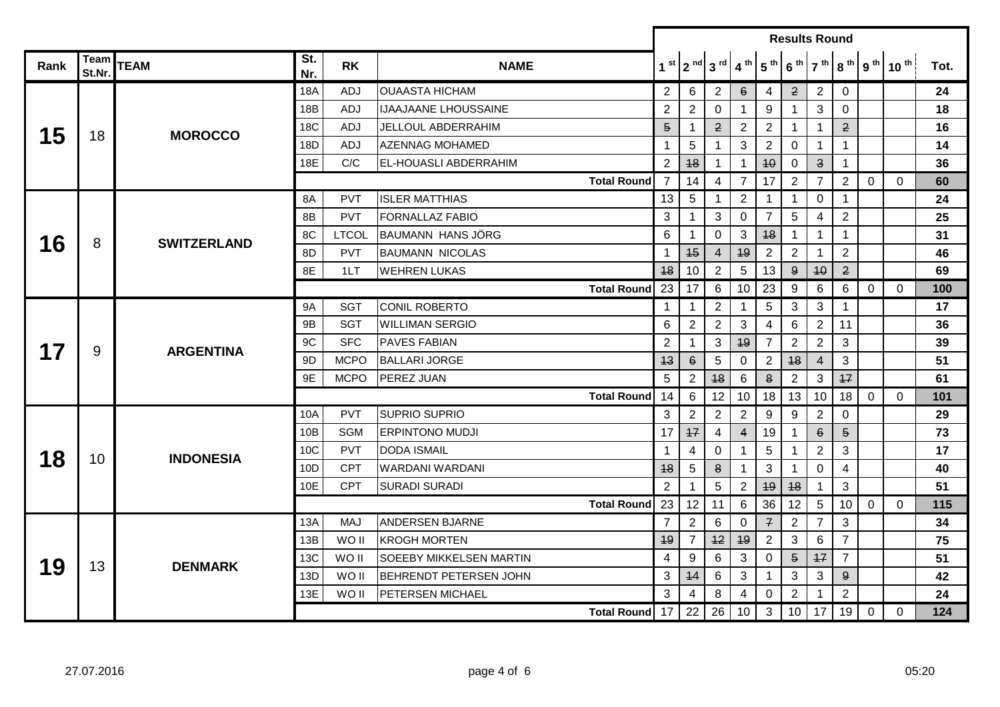|      |                |                    |            |              |                              | <b>Results Round</b>      |                |                                                                                                                                                                                                                                                                                                                                                                                                                                                                                                                         |                 |                                                                                                                                                                                                                                                                                 |                 |                         |                 |                                       |                  |      |
|------|----------------|--------------------|------------|--------------|------------------------------|---------------------------|----------------|-------------------------------------------------------------------------------------------------------------------------------------------------------------------------------------------------------------------------------------------------------------------------------------------------------------------------------------------------------------------------------------------------------------------------------------------------------------------------------------------------------------------------|-----------------|---------------------------------------------------------------------------------------------------------------------------------------------------------------------------------------------------------------------------------------------------------------------------------|-----------------|-------------------------|-----------------|---------------------------------------|------------------|------|
| Rank | Team<br>St.Nr. | <b>TEAM</b>        | St.<br>Nr. | <b>RK</b>    | <b>NAME</b>                  |                           |                | $1st$   $2nd$   $3rd$   $4th$                                                                                                                                                                                                                                                                                                                                                                                                                                                                                           |                 | 5 <sup>th</sup>                                                                                                                                                                                                                                                                 | 6 <sup>th</sup> |                         |                 | $7th$ 8 <sup>th</sup> 9 <sup>th</sup> | 10 <sup>th</sup> | Tot. |
|      |                |                    | 18A        | <b>ADJ</b>   | <b>OUAASTA HICHAM</b>        | $\overline{2}$            | 6              | $\mathbf{2}$                                                                                                                                                                                                                                                                                                                                                                                                                                                                                                            | $6^{\circ}$     | 4                                                                                                                                                                                                                                                                               | $\mathbf{2}$    | $\overline{2}$          | $\mathbf 0$     |                                       |                  | 24   |
|      |                |                    | 18B        | <b>ADJ</b>   | IJAAJAANE LHOUSSAINE         | 2                         | $\overline{2}$ | $\Omega$                                                                                                                                                                                                                                                                                                                                                                                                                                                                                                                | $\mathbf 1$     | 9                                                                                                                                                                                                                                                                               | $\mathbf 1$     | 3                       | $\mathbf{0}$    |                                       |                  | 18   |
| 15   | 18             | <b>MOROCCO</b>     | <b>18C</b> | <b>ADJ</b>   | <b>JELLOUL ABDERRAHIM</b>    | $\overline{5}$            | $\mathbf 1$    | $\mathbf{2}$                                                                                                                                                                                                                                                                                                                                                                                                                                                                                                            | $\overline{2}$  | $\overline{2}$                                                                                                                                                                                                                                                                  |                 | $\mathbf{1}$            | $\overline{2}$  |                                       |                  | 16   |
|      |                |                    | 18D        | <b>ADJ</b>   | <b>AZENNAG MOHAMED</b>       | -1                        | 5              | 1                                                                                                                                                                                                                                                                                                                                                                                                                                                                                                                       | 3               | $\overline{2}$                                                                                                                                                                                                                                                                  | $\mathbf 0$     | $\mathbf{1}$            | $\mathbf{1}$    |                                       |                  | 14   |
|      |                |                    | 18E        | C/C          | <b>EL-HOUASLI ABDERRAHIM</b> | 2                         | 48             | 1                                                                                                                                                                                                                                                                                                                                                                                                                                                                                                                       | 1               | 40                                                                                                                                                                                                                                                                              | $\mathbf 0$     | $\overline{\mathbf{3}}$ | $\overline{1}$  |                                       |                  | 36   |
|      |                |                    |            |              | <b>Total Round</b>           | $\overline{7}$            | 14             | 4                                                                                                                                                                                                                                                                                                                                                                                                                                                                                                                       | $\overline{7}$  | 17                                                                                                                                                                                                                                                                              | $\overline{2}$  | $\overline{7}$          | $\overline{2}$  | $\mathbf 0$                           | $\Omega$         | 60   |
|      |                |                    | 8A         | <b>PVT</b>   | <b>ISLER MATTHIAS</b>        | 13                        | 5              | 1                                                                                                                                                                                                                                                                                                                                                                                                                                                                                                                       | $\overline{2}$  | -1                                                                                                                                                                                                                                                                              | -1              | 0                       | -1              |                                       |                  | 24   |
|      |                |                    | 8B         | <b>PVT</b>   | <b>FORNALLAZ FABIO</b>       | 3                         | $\mathbf 1$    | 3                                                                                                                                                                                                                                                                                                                                                                                                                                                                                                                       | $\mathbf 0$     | $\overline{7}$                                                                                                                                                                                                                                                                  | 5 <sup>5</sup>  | $\overline{4}$          | $\overline{2}$  |                                       |                  | 25   |
| 16   | 8              | <b>SWITZERLAND</b> | 8C         | <b>LTCOL</b> | <b>BAUMANN HANS JÖRG</b>     | 6                         | 1              | $\mathbf 0$                                                                                                                                                                                                                                                                                                                                                                                                                                                                                                             | 3               | 48                                                                                                                                                                                                                                                                              | $\mathbf{1}$    | $\mathbf{1}$            | $\mathbf{1}$    |                                       |                  | 31   |
|      |                |                    | 8D         | <b>PVT</b>   | <b>BAUMANN NICOLAS</b>       | 1                         | 45             | 4                                                                                                                                                                                                                                                                                                                                                                                                                                                                                                                       | 49              | $\mathbf{2}$                                                                                                                                                                                                                                                                    | $\overline{2}$  | $\overline{1}$          | $\overline{2}$  |                                       |                  | 46   |
|      |                |                    | 8E         | 1LT          | <b>WEHREN LUKAS</b>          | 48                        | 10             | $\overline{2}$                                                                                                                                                                                                                                                                                                                                                                                                                                                                                                          | 5               | 13                                                                                                                                                                                                                                                                              | $9^{\circ}$     | 40                      | $\overline{2}$  |                                       |                  | 69   |
|      |                |                    |            |              | <b>Total Round</b>           | 23                        | 17             | $6\phantom{.}6$                                                                                                                                                                                                                                                                                                                                                                                                                                                                                                         | 10 <sup>1</sup> | 23                                                                                                                                                                                                                                                                              | 9               | 6                       | $6\overline{6}$ | $\mathbf 0$                           | $\Omega$         | 100  |
|      |                |                    | <b>9A</b>  | <b>SGT</b>   | <b>CONIL ROBERTO</b>         | 1                         | 1              | $\overline{2}$                                                                                                                                                                                                                                                                                                                                                                                                                                                                                                          | 1               | 5                                                                                                                                                                                                                                                                               | 3               | 3                       | $\mathbf 1$     |                                       |                  | 17   |
|      |                |                    | 9B         | <b>SGT</b>   | <b>WILLIMAN SERGIO</b>       | 6                         | $\overline{2}$ | $\overline{2}$<br>3<br>6<br>$\overline{2}$<br>11<br>4<br>$\overline{2}$<br>$\overline{2}$<br>49<br>$\overline{7}$<br>3<br>3<br>1<br>$\overline{4}$<br>3<br>$\pmb{6}$<br>5<br>$\mathbf 0$<br>$\overline{2}$<br>48<br>$\overline{2}$<br>17<br>$\overline{2}$<br>48<br>$\,6\,$<br>$\bf{8}$<br>3<br>12<br>10<br>18<br>13<br>10<br>18<br>$\mathbf 0$<br>$\overline{2}$<br>$\overline{2}$<br>$\overline{2}$<br>9<br>9<br>$\overline{2}$<br>0<br>$6\overline{6}$<br>$\overline{5}$<br>$\overline{4}$<br>19<br>4<br>$\mathbf 1$ |                 | 36                                                                                                                                                                                                                                                                              |                 |                         |                 |                                       |                  |      |
| 17   | 9              | <b>ARGENTINA</b>   | 9C         | <b>SFC</b>   | <b>PAVES FABIAN</b>          | $\overline{2}$<br>43<br>5 |                |                                                                                                                                                                                                                                                                                                                                                                                                                                                                                                                         |                 |                                                                                                                                                                                                                                                                                 | 39              |                         |                 |                                       |                  |      |
|      |                |                    | 9D         | <b>MCPO</b>  | <b>BALLARI JORGE</b>         |                           |                |                                                                                                                                                                                                                                                                                                                                                                                                                                                                                                                         |                 | 51                                                                                                                                                                                                                                                                              |                 |                         |                 |                                       |                  |      |
|      |                |                    | 9E         | <b>MCPO</b>  | PEREZ JUAN                   |                           |                |                                                                                                                                                                                                                                                                                                                                                                                                                                                                                                                         |                 |                                                                                                                                                                                                                                                                                 |                 |                         | 61              |                                       |                  |      |
|      |                |                    |            |              | <b>Total Round</b>           | 14                        | 6              |                                                                                                                                                                                                                                                                                                                                                                                                                                                                                                                         |                 |                                                                                                                                                                                                                                                                                 |                 |                         |                 |                                       | $\Omega$         | 101  |
|      |                |                    | 10A        | <b>PVT</b>   | <b>SUPRIO SUPRIO</b>         | 3                         |                |                                                                                                                                                                                                                                                                                                                                                                                                                                                                                                                         |                 |                                                                                                                                                                                                                                                                                 |                 |                         |                 |                                       |                  | 29   |
|      |                |                    | 10B        | <b>SGM</b>   | <b>ERPINTONO MUDJI</b>       | 17                        | 17             |                                                                                                                                                                                                                                                                                                                                                                                                                                                                                                                         |                 |                                                                                                                                                                                                                                                                                 |                 |                         |                 |                                       |                  | 73   |
| 18   | 10             | <b>INDONESIA</b>   | 10C        | PVT          | <b>DODA ISMAIL</b>           | 1                         | 4              | 0                                                                                                                                                                                                                                                                                                                                                                                                                                                                                                                       | 1               | 5<br>2<br>3<br>3<br>0<br>4<br>-1<br>48<br>3<br>49<br>$\mathbf{1}$<br>36<br>12<br>5<br>10<br>$\overline{2}$<br>3<br>$\mathcal{F}$<br>$\overline{7}$<br>$\overline{2}$<br>$\overline{7}$<br>3<br>6<br>$\overline{7}$<br>$\overline{5}$<br>47<br>0<br>3<br>3<br>$\mathbf{9}$<br>-1 |                 |                         | 17              |                                       |                  |      |
|      |                |                    | 10D        | <b>CPT</b>   | WARDANI WARDANI              | 48                        | 5              | 8                                                                                                                                                                                                                                                                                                                                                                                                                                                                                                                       |                 |                                                                                                                                                                                                                                                                                 |                 |                         |                 |                                       |                  | 40   |
|      |                |                    | 10E        | <b>CPT</b>   | <b>SURADI SURADI</b>         | 2                         | 1              | 5                                                                                                                                                                                                                                                                                                                                                                                                                                                                                                                       | $\overline{2}$  |                                                                                                                                                                                                                                                                                 |                 |                         |                 |                                       |                  | 51   |
|      |                |                    |            |              | <b>Total Round</b>           | 23                        | 12             | 11                                                                                                                                                                                                                                                                                                                                                                                                                                                                                                                      | $6\phantom{1}6$ |                                                                                                                                                                                                                                                                                 |                 |                         |                 | $\mathbf 0$                           | $\Omega$         | 115  |
|      |                |                    | <b>13A</b> | <b>MAJ</b>   | <b>ANDERSEN BJARNE</b>       | $\overline{7}$            | $\overline{2}$ | 6                                                                                                                                                                                                                                                                                                                                                                                                                                                                                                                       | $\mathbf 0$     |                                                                                                                                                                                                                                                                                 |                 |                         |                 |                                       |                  | 34   |
|      |                |                    | 13B        | WO II        | <b>KROGH MORTEN</b>          | 49                        | 7              | 12                                                                                                                                                                                                                                                                                                                                                                                                                                                                                                                      | 49              |                                                                                                                                                                                                                                                                                 |                 |                         |                 |                                       |                  | 75   |
| 19   | 13             | <b>DENMARK</b>     | 13C        | WO II        | SOEEBY MIKKELSEN MARTIN      | 4                         | 9              | 6                                                                                                                                                                                                                                                                                                                                                                                                                                                                                                                       | 3               |                                                                                                                                                                                                                                                                                 |                 |                         |                 |                                       |                  | 51   |
|      |                |                    | 13D        | WO II        | BEHRENDT PETERSEN JOHN       | 3                         | 44             | 6                                                                                                                                                                                                                                                                                                                                                                                                                                                                                                                       | 3               |                                                                                                                                                                                                                                                                                 |                 |                         |                 |                                       |                  | 42   |
|      |                |                    | 13E        | WO II        | <b>PETERSEN MICHAEL</b>      | 3                         | 4              | 8                                                                                                                                                                                                                                                                                                                                                                                                                                                                                                                       | 4               | 0                                                                                                                                                                                                                                                                               | $\overline{2}$  |                         | $\mathbf{2}$    |                                       |                  | 24   |
|      |                |                    |            |              | Total Round 17               |                           | 22             | 26                                                                                                                                                                                                                                                                                                                                                                                                                                                                                                                      | 10 <sup>1</sup> | 3                                                                                                                                                                                                                                                                               | 10 <sup>°</sup> | 17                      | 19              | 0                                     | 0                | 124  |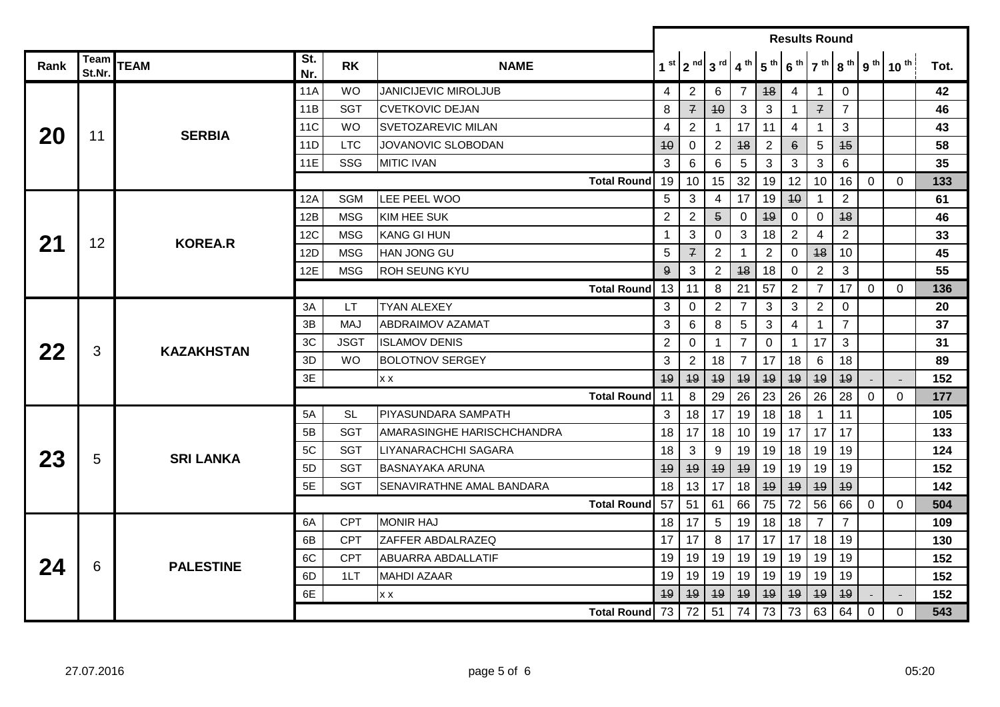|      |                |                   |            |             |                             |                                                                                                                                                                                                                                                                                                                                                                                                                                                                                                                                              |                 |                 |                 |                               | <b>Results Round</b> |                 |                                                       |                |                 |              |      |  |  |  |
|------|----------------|-------------------|------------|-------------|-----------------------------|----------------------------------------------------------------------------------------------------------------------------------------------------------------------------------------------------------------------------------------------------------------------------------------------------------------------------------------------------------------------------------------------------------------------------------------------------------------------------------------------------------------------------------------------|-----------------|-----------------|-----------------|-------------------------------|----------------------|-----------------|-------------------------------------------------------|----------------|-----------------|--------------|------|--|--|--|
| Rank | Team<br>St.Nr. | <b>TEAM</b>       | St.<br>Nr. | <b>RK</b>   | <b>NAME</b>                 |                                                                                                                                                                                                                                                                                                                                                                                                                                                                                                                                              |                 |                 |                 | $1st$   $2nd$   $3rd$   $4th$ |                      |                 | $5th$ 6 <sup>th</sup> 7 <sup>th</sup> 8 <sup>th</sup> |                | 9 <sup>th</sup> | $10^{th}$    | Tot. |  |  |  |
|      |                |                   | <b>11A</b> | <b>WO</b>   | <b>JANICIJEVIC MIROLJUB</b> |                                                                                                                                                                                                                                                                                                                                                                                                                                                                                                                                              | 4               | $\mathbf{2}$    | 6               | $\overline{7}$                | 48                   | $\overline{4}$  | $\mathbf{1}$                                          | $\mathbf 0$    |                 |              | 42   |  |  |  |
|      |                |                   | 11B        | <b>SGT</b>  | <b>CVETKOVIC DEJAN</b>      |                                                                                                                                                                                                                                                                                                                                                                                                                                                                                                                                              | 8               | $\overline{f}$  | 40              | 3                             | 3                    | $\mathbf{1}$    | $\mathcal{F}$                                         | $\overline{7}$ |                 |              | 46   |  |  |  |
|      | 11             | <b>SERBIA</b>     | 11C        | <b>WO</b>   | SVETOZAREVIC MILAN          |                                                                                                                                                                                                                                                                                                                                                                                                                                                                                                                                              | 4               | $\overline{2}$  | 1               | 17                            | 11                   | 4               | $\mathbf{1}$                                          | 3              |                 |              | 43   |  |  |  |
| 20   |                |                   | 11D        | <b>LTC</b>  | <b>JOVANOVIC SLOBODAN</b>   |                                                                                                                                                                                                                                                                                                                                                                                                                                                                                                                                              | $4\theta$       | 0               | $\overline{2}$  | 48                            | $\overline{2}$       | $6^{\circ}$     | 5                                                     | 45             |                 |              | 58   |  |  |  |
|      |                |                   | 11E        | SSG         | <b>MITIC IVAN</b>           |                                                                                                                                                                                                                                                                                                                                                                                                                                                                                                                                              | 3               | 6               | 6               | 5                             | 3                    | 3               | 3                                                     | 6              |                 |              | 35   |  |  |  |
|      |                |                   |            |             | <b>Total Round</b>          |                                                                                                                                                                                                                                                                                                                                                                                                                                                                                                                                              | 19              | 10 <sup>1</sup> | 15 <sup>1</sup> | 32                            | 19                   | 12 <sup>2</sup> | 10 <sup>1</sup>                                       | 16             | $\mathbf 0$     | $\mathbf{0}$ | 133  |  |  |  |
|      |                |                   | 12A        | <b>SGM</b>  | LEE PEEL WOO                |                                                                                                                                                                                                                                                                                                                                                                                                                                                                                                                                              | 5               | 3               | 4               | 17                            | 19                   | $4\theta$       |                                                       | $\overline{2}$ |                 |              | 61   |  |  |  |
|      |                |                   | 12B        | <b>MSG</b>  | <b>KIM HEE SUK</b>          |                                                                                                                                                                                                                                                                                                                                                                                                                                                                                                                                              |                 | $\overline{2}$  | $\overline{5}$  | $\Omega$                      | 49                   | 0               | 0                                                     | 48             |                 |              | 46   |  |  |  |
| 21   | 12             | <b>KOREA.R</b>    | 12C        | <b>MSG</b>  | <b>KANG GI HUN</b>          |                                                                                                                                                                                                                                                                                                                                                                                                                                                                                                                                              |                 | 3               | 0               | 3                             | 18                   | 2 <sup>7</sup>  | $\overline{4}$                                        | $\overline{2}$ |                 |              | 33   |  |  |  |
|      |                |                   | 12D        | <b>MSG</b>  | HAN JONG GU                 | $\overline{2}$<br>1<br>5<br>$\mathcal{F}$<br>$\overline{2}$<br>$\overline{2}$<br>48<br>10<br>$\mathbf 0$<br>1<br>2<br>3<br>9<br>3<br>$\overline{2}$<br>48<br>18<br>0<br>8<br>21<br>57<br>$\overline{2}$<br>$\overline{7}$<br>17<br>13<br><b>Total Round</b><br>11<br>$\overline{2}$<br>$\overline{7}$<br>3<br>3<br>$\overline{2}$<br>3<br>$\mathbf 0$<br>0<br>3<br>$6\phantom{1}6$<br>8<br>5<br>3<br>$\overline{7}$<br>$\overline{4}$<br>$\mathbf{1}$<br>$\overline{2}$<br>$\overline{7}$<br>17<br>3<br>$\mathbf 0$<br>0<br>1<br>$\mathbf 1$ |                 |                 | 45              |                               |                      |                 |                                                       |                |                 |              |      |  |  |  |
|      |                |                   | 12E        | <b>MSG</b>  | ROH SEUNG KYU               |                                                                                                                                                                                                                                                                                                                                                                                                                                                                                                                                              |                 |                 |                 |                               |                      |                 |                                                       |                |                 |              | 55   |  |  |  |
|      |                |                   |            |             |                             |                                                                                                                                                                                                                                                                                                                                                                                                                                                                                                                                              |                 |                 |                 |                               |                      |                 |                                                       |                | 0               | $\Omega$     | 136  |  |  |  |
|      |                |                   | 3A         | <b>LT</b>   | <b>TYAN ALEXEY</b>          |                                                                                                                                                                                                                                                                                                                                                                                                                                                                                                                                              |                 |                 |                 |                               |                      |                 |                                                       |                |                 |              | 20   |  |  |  |
|      |                |                   | 3B         | <b>MAJ</b>  | <b>ABDRAIMOV AZAMAT</b>     |                                                                                                                                                                                                                                                                                                                                                                                                                                                                                                                                              |                 |                 |                 |                               |                      |                 |                                                       |                |                 |              | 37   |  |  |  |
| 22   | 3              | <b>KAZAKHSTAN</b> | 3C         | <b>JSGT</b> | <b>ISLAMOV DENIS</b>        |                                                                                                                                                                                                                                                                                                                                                                                                                                                                                                                                              |                 |                 |                 |                               |                      |                 |                                                       |                |                 |              | 31   |  |  |  |
|      |                |                   | 3D         | <b>WO</b>   | <b>BOLOTNOV SERGEY</b>      | $\overline{7}$<br>3<br>$\overline{2}$<br>18<br>17<br>18<br>6<br>49<br>49<br>49<br>49<br>49<br>49<br>49<br>26<br>23<br>26<br>8<br>29<br>26<br><b>Total Round</b><br>11<br>3                                                                                                                                                                                                                                                                                                                                                                   | 18              |                 |                 | 89                            |                      |                 |                                                       |                |                 |              |      |  |  |  |
|      |                |                   | 3E<br>X X  |             |                             |                                                                                                                                                                                                                                                                                                                                                                                                                                                                                                                                              |                 |                 |                 |                               | 49                   |                 |                                                       | 152            |                 |              |      |  |  |  |
|      |                |                   |            |             |                             |                                                                                                                                                                                                                                                                                                                                                                                                                                                                                                                                              |                 |                 |                 |                               |                      |                 |                                                       | 28             | $\mathbf 0$     | $\mathbf 0$  | 177  |  |  |  |
|      |                |                   | 5A         | <b>SL</b>   | PIYASUNDARA SAMPATH         |                                                                                                                                                                                                                                                                                                                                                                                                                                                                                                                                              |                 | 18              | 17 <sup>1</sup> | 19 <sup>1</sup>               | 18                   | 18              | $\mathbf{1}$                                          | 11             |                 |              | 105  |  |  |  |
|      |                |                   | 5B         | <b>SGT</b>  | AMARASINGHE HARISCHCHANDRA  |                                                                                                                                                                                                                                                                                                                                                                                                                                                                                                                                              | 18              | 17 <sup>1</sup> | 18              | 10 <sup>1</sup>               | 19                   | 17              | 17                                                    | 17             |                 |              | 133  |  |  |  |
| 23   | 5              | <b>SRI LANKA</b>  | 5C         | <b>SGT</b>  | LIYANARACHCHI SAGARA        |                                                                                                                                                                                                                                                                                                                                                                                                                                                                                                                                              | 18              | 3               | 9               | 19                            | 19                   | 18              | 19                                                    | 19             |                 |              | 124  |  |  |  |
|      |                |                   | 5D         | <b>SGT</b>  | <b>BASNAYAKA ARUNA</b>      |                                                                                                                                                                                                                                                                                                                                                                                                                                                                                                                                              | 49              | 49              | 49              | 49                            | 19                   | 19              | 19                                                    | 19             |                 |              | 152  |  |  |  |
|      |                |                   | 5E         | <b>SGT</b>  | SENAVIRATHNE AMAL BANDARA   |                                                                                                                                                                                                                                                                                                                                                                                                                                                                                                                                              | 18              | 13              | 17              | 18                            | 49                   | 49              | 49                                                    | 49             |                 |              | 142  |  |  |  |
|      |                |                   |            |             | <b>Total Round</b>          | 57                                                                                                                                                                                                                                                                                                                                                                                                                                                                                                                                           |                 | 51              | 61              | 66                            | 75                   | 72              | 56                                                    | 66             | $\mathbf 0$     | $\Omega$     | 504  |  |  |  |
|      |                |                   | 6A         | <b>CPT</b>  | <b>MONIR HAJ</b>            |                                                                                                                                                                                                                                                                                                                                                                                                                                                                                                                                              | 18              | 17              | $\overline{5}$  | 19                            | 18                   | 18              | $\overline{7}$                                        | $\overline{7}$ |                 |              | 109  |  |  |  |
|      |                |                   | 6B         | <b>CPT</b>  | ZAFFER ABDALRAZEQ           |                                                                                                                                                                                                                                                                                                                                                                                                                                                                                                                                              | 17 I            | 17              | 8               | 17 <sup>1</sup>               | 17                   | 17              | 18                                                    | 19             |                 |              | 130  |  |  |  |
| 24   | 6              | <b>PALESTINE</b>  | 6C         | <b>CPT</b>  | ABUARRA ABDALLATIF          |                                                                                                                                                                                                                                                                                                                                                                                                                                                                                                                                              | 19 <sup>1</sup> | 19              | 19              | 19                            | 19                   | 19              | 19                                                    | 19             |                 |              | 152  |  |  |  |
|      |                |                   | 6D         | 1LT         | <b>MAHDI AZAAR</b>          |                                                                                                                                                                                                                                                                                                                                                                                                                                                                                                                                              | 19              | 19              | 19 <sup>°</sup> | 19                            | 19                   | 19              | 19                                                    | 19             |                 |              | 152  |  |  |  |
|      |                |                   | 6E         |             | XX                          |                                                                                                                                                                                                                                                                                                                                                                                                                                                                                                                                              | 49              | 49              | 49              | 49                            | 49                   | 49              | 49                                                    | 49             |                 |              | 152  |  |  |  |
|      |                |                   |            |             | Total Round 73   72         |                                                                                                                                                                                                                                                                                                                                                                                                                                                                                                                                              |                 |                 | 51              | 74                            | 73                   | 73              | 63                                                    | 64             | 0               | $\Omega$     | 543  |  |  |  |